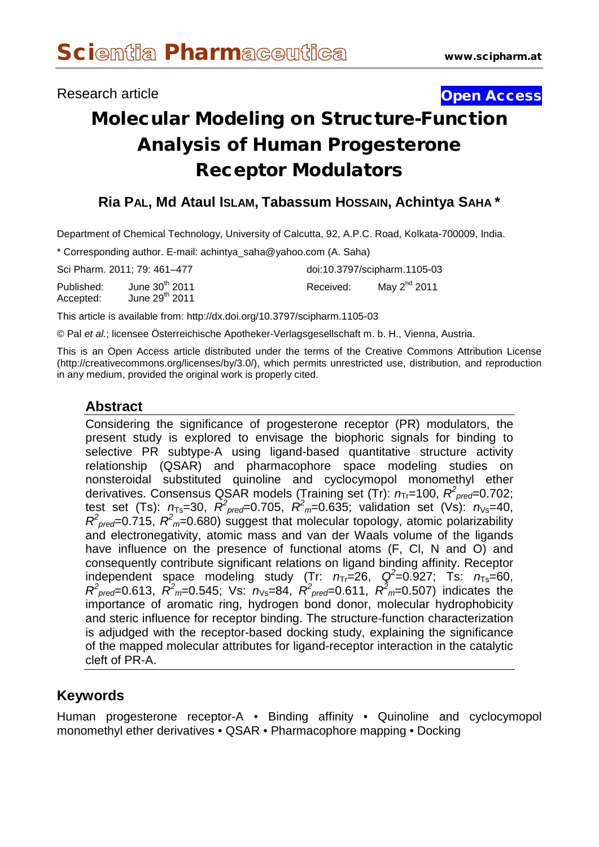## Research article **Contract Contract Contract Contract Contract Contract Contract Contract Contract Contract Contract Contract Contract Contract Contract Contract Contract Contract Contract Contract Contract Contract Contra**

# Molecular Modeling on Structure-Function Analysis of Human Progesterone Receptor Modulators

## **Ria PAL, Md Ataul ISLAM, Tabassum HOSSAIN, Achintya SAHA \***

Department of Chemical Technology, University of Calcutta, 92, A.P.C. Road, Kolkata-700009, India.

\* Corresponding author. E-mail: [achintya\\_saha@yahoo.com](mailto:achintya_saha@yahoo.com) (A. Saha)

|                         | Sci Pharm, 2011; 79: 461-477         |           | doi:10.3797/scipharm.1105-03 |  |  |  |
|-------------------------|--------------------------------------|-----------|------------------------------|--|--|--|
| Published:<br>Accepted: | June $30th$ 2011<br>June $29th$ 2011 | Received: | May $2^{nd}$ 2011            |  |  |  |

This article is available from: http://dx.doi.org/10.3797/scipharm.1105-03

© Pal *et al.*; licensee Österreichische Apotheker-Verlagsgesellschaft m. b. H., Vienna, Austria.

This is an Open Access article distributed under the terms of the Creative Commons Attribution License [\(http://creativecommons.org/licenses/by/3.0/\)](http://creativecommons.org/licenses/by/3.0/), which permits unrestricted use, distribution, and reproduction in any medium, provided the original work is properly cited.

## **Abstract**

Considering the significance of progesterone receptor (PR) modulators, the present study is explored to envisage the biophoric signals for binding to selective PR subtype-A using ligand-based quantitative structure activity relationship (QSAR) and pharmacophore space modeling studies on nonsteroidal substituted quinoline and cyclocymopol monomethyl ether derivatives. Consensus QSAR models (Training set (Tr):  $n_{Tr}$ =100,  $R^2_{prec}$ =0.702; test set (Ts):  $n_{Ts}$ =30,  $R^2_{prec}$ =0.705,  $R^2_{m}$ =0.635; validation set (Vs):  $n_{vs}$ =40,  $R^2_{\text{pred}}$ =0.715,  $R^2_{\text{m}}$ =0.680) suggest that molecular topology, atomic polarizability and electronegativity, atomic mass and van der Waals volume of the ligands have influence on the presence of functional atoms (F, Cl, N and O) and consequently contribute significant relations on ligand binding affinity. Receptor independent space modeling study (Tr:  $n_{Tr}$ =26, Q<sup>2</sup>=0.927; Ts:  $n_{Ts}$ =60,  $R^2_{\text{pred}} = 0.613$ ,  $R^2_{\text{m}} = 0.545$ ; Vs:  $n_{\text{Vs}} = 84$ ,  $R^2_{\text{pred}} = 0.611$ ,  $R^2_{\text{m}} = 0.507$ ) indicates the importance of aromatic ring, hydrogen bond donor, molecular hydrophobicity and steric influence for receptor binding. The structure-function characterization is adjudged with the receptor-based docking study, explaining the significance of the mapped molecular attributes for ligand-receptor interaction in the catalytic cleft of PR-A.

#### **Keywords**

Human progesterone receptor-A • Binding affinity • Quinoline and cyclocymopol monomethyl ether derivatives • QSAR • Pharmacophore mapping • Docking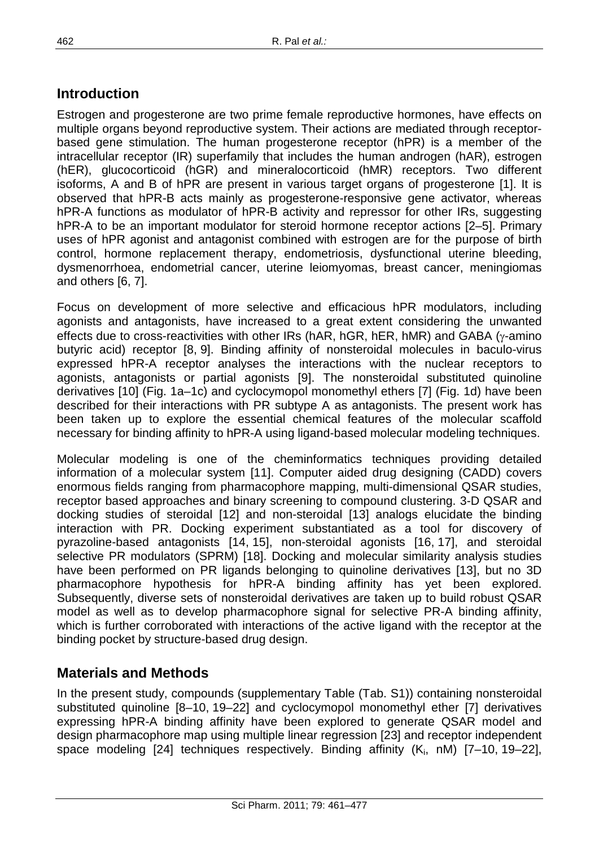# **Introduction**

Estrogen and progesterone are two prime female reproductive hormones, have effects on multiple organs beyond reproductive system. Their actions are mediated through receptorbased gene stimulation. The human progesterone receptor (hPR) is a member of the intracellular receptor (IR) superfamily that includes the human androgen (hAR), estrogen (hER), glucocorticoid (hGR) and mineralocorticoid (hMR) receptors. Two different isoforms, A and B of hPR are present in various target organs of progesterone [1]. It is observed that hPR-B acts mainly as progesterone-responsive gene activator, whereas hPR-A functions as modulator of hPR-B activity and repressor for other IRs, suggesting hPR-A to be an important modulator for steroid hormone receptor actions [2–5]. Primary uses of hPR agonist and antagonist combined with estrogen are for the purpose of birth control, hormone replacement therapy, endometriosis, dysfunctional uterine bleeding, dysmenorrhoea, endometrial cancer, uterine leiomyomas, breast cancer, meningiomas and others [6, 7].

Focus on development of more selective and efficacious hPR modulators, including agonists and antagonists, have increased to a great extent considering the unwanted effects due to cross-reactivities with other IRs (hAR, hGR, hER, hMR) and GABA ( $\gamma$ -amino butyric acid) receptor [8, 9]. Binding affinity of nonsteroidal molecules in baculo-virus expressed hPR-A receptor analyses the interactions with the nuclear receptors to agonists, antagonists or partial agonists [9]. The nonsteroidal substituted quinoline derivatives [10] (Fig. 1a–1c) and cyclocymopol monomethyl ethers [7] (Fig. 1d) have been described for their interactions with PR subtype A as antagonists. The present work has been taken up to explore the essential chemical features of the molecular scaffold necessary for binding affinity to hPR-A using ligand-based molecular modeling techniques.

Molecular modeling is one of the cheminformatics techniques providing detailed information of a molecular system [11]. Computer aided drug designing (CADD) covers enormous fields ranging from pharmacophore mapping, multi-dimensional QSAR studies, receptor based approaches and binary screening to compound clustering. 3-D QSAR and docking studies of steroidal [12] and non-steroidal [13] analogs elucidate the binding interaction with PR. Docking experiment substantiated as a tool for discovery of pyrazoline-based antagonists [14, 15], non-steroidal agonists [16, 17], and steroidal selective PR modulators (SPRM) [18]. Docking and molecular similarity analysis studies have been performed on PR ligands belonging to quinoline derivatives [13], but no 3D pharmacophore hypothesis for hPR-A binding affinity has yet been explored. Subsequently, diverse sets of nonsteroidal derivatives are taken up to build robust QSAR model as well as to develop pharmacophore signal for selective PR-A binding affinity, which is further corroborated with interactions of the active ligand with the receptor at the binding pocket by structure-based drug design.

# **Materials and Methods**

In the present study, compounds (supplementary Table (Tab. S1)) containing nonsteroidal substituted quinoline [8–10, 19–22] and cyclocymopol monomethyl ether [7] derivatives expressing hPR-A binding affinity have been explored to generate QSAR model and design pharmacophore map using multiple linear regression [23] and receptor independent space modeling  $[24]$  techniques respectively. Binding affinity  $(K_i, nM)$   $[7-10, 19-22]$ ,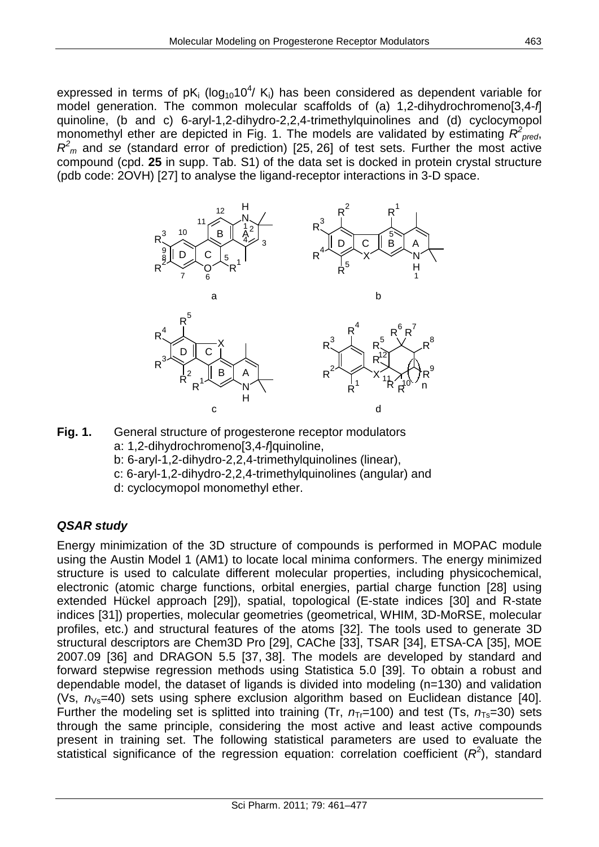expressed in terms of pK<sub>i</sub> (log<sub>10</sub>10<sup>4</sup>/ K<sub>i</sub>) has been considered as dependent variable for model generation. The common molecular scaffolds of (a) 1,2-dihydrochromeno[3,4-*f*] quinoline, (b and c) 6-aryl-1,2-dihydro-2,2,4-trimethylquinolines and (d) cyclocymopol monomethyl ether are depicted in Fig. 1. The models are validated by estimating  $R^2_{pred}$ , *R2 <sup>m</sup>* and *se* (standard error of prediction) [25, 26] of test sets. Further the most active compound (cpd. **25** in supp. Tab. S1) of the data set is docked in protein crystal structure (pdb code: 2OVH) [27] to analyse the ligand-receptor interactions in 3-D space.



**Fig. 1.** General structure of progesterone receptor modulators a: 1,2-dihydrochromeno[3,4-*f*]quinoline, b: 6-aryl-1,2-dihydro-2,2,4-trimethylquinolines (linear), c: 6-aryl-1,2-dihydro-2,2,4-trimethylquinolines (angular) and d: cyclocymopol monomethyl ether.

# *QSAR study*

Energy minimization of the 3D structure of compounds is performed in MOPAC module using the Austin Model 1 (AM1) to locate local minima conformers. The energy minimized structure is used to calculate different molecular properties, including physicochemical, electronic (atomic charge functions, orbital energies, partial charge function [28] using extended Hückel approach [29]), spatial, topological (E-state indices [30] and R-state indices [31]) properties, molecular geometries (geometrical, WHIM, 3D-MoRSE, molecular profiles, etc.) and structural features of the atoms [32]. The tools used to generate 3D structural descriptors are Chem3D Pro [29], CAChe [33], TSAR [34], ETSA-CA [35], MOE 2007.09 [36] and DRAGON 5.5 [37, 38]. The models are developed by standard and forward stepwise regression methods using Statistica 5.0 [39]. To obtain a robust and dependable model, the dataset of ligands is divided into modeling (n=130) and validation (Vs,  $n_{\text{Vs}}$ =40) sets using sphere exclusion algorithm based on Euclidean distance [40]. Further the modeling set is splitted into training (Tr,  $n_T = 100$ ) and test (Ts,  $n_T = 30$ ) sets through the same principle, considering the most active and least active compounds present in training set. The following statistical parameters are used to evaluate the statistical significance of the regression equation: correlation coefficient  $(R^2)$ , standard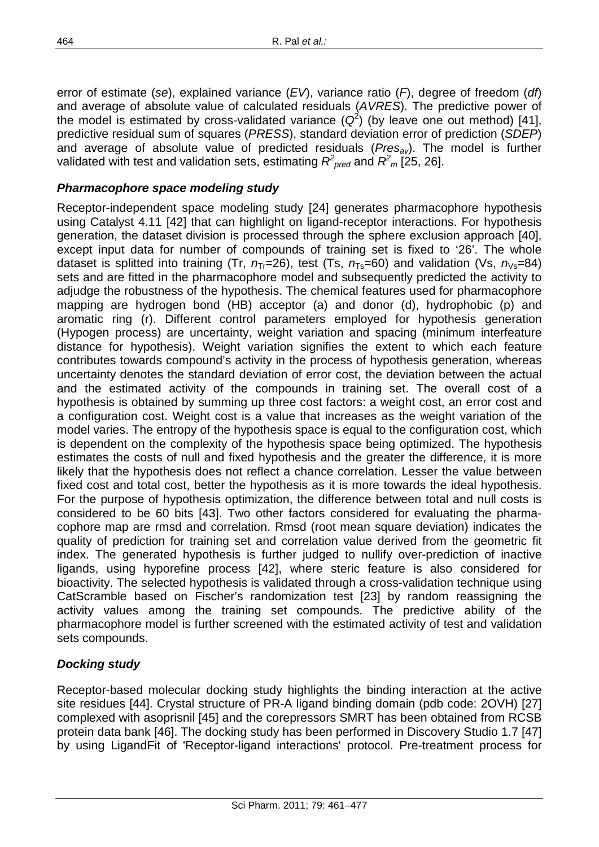error of estimate (*se*), explained variance (*EV*), variance ratio (*F*), degree of freedom (*df*) and average of absolute value of calculated residuals (*AVRES*). The predictive power of the model is estimated by cross-validated variance  $(Q^2)$  (by leave one out method) [41], predictive residual sum of squares (*PRESS*), standard deviation error of prediction (*SDEP*) and average of absolute value of predicted residuals (*Presav*). The model is further validated with test and validation sets, estimating  $R^2_{\ \, pred}$  and  $R^2_{\ \, m}$  [25, 26].

#### *Pharmacophore space modeling study*

Receptor-independent space modeling study [24] generates pharmacophore hypothesis using Catalyst 4.11 [42] that can highlight on ligand-receptor interactions. For hypothesis generation, the dataset division is processed through the sphere exclusion approach [40], except input data for number of compounds of training set is fixed to '26'. The whole dataset is splitted into training (Tr,  $n_T = 26$ ), test (Ts,  $n_T = 60$ ) and validation (Vs,  $n_V = 84$ ) sets and are fitted in the pharmacophore model and subsequently predicted the activity to adjudge the robustness of the hypothesis. The chemical features used for pharmacophore mapping are hydrogen bond (HB) acceptor (a) and donor (d), hydrophobic (p) and aromatic ring (r). Different control parameters employed for hypothesis generation (Hypogen process) are uncertainty, weight variation and spacing (minimum interfeature distance for hypothesis). Weight variation signifies the extent to which each feature contributes towards compound's activity in the process of hypothesis generation, whereas uncertainty denotes the standard deviation of error cost, the deviation between the actual and the estimated activity of the compounds in training set. The overall cost of a hypothesis is obtained by summing up three cost factors: a weight cost, an error cost and a configuration cost. Weight cost is a value that increases as the weight variation of the model varies. The entropy of the hypothesis space is equal to the configuration cost, which is dependent on the complexity of the hypothesis space being optimized. The hypothesis estimates the costs of null and fixed hypothesis and the greater the difference, it is more likely that the hypothesis does not reflect a chance correlation. Lesser the value between fixed cost and total cost, better the hypothesis as it is more towards the ideal hypothesis. For the purpose of hypothesis optimization, the difference between total and null costs is considered to be 60 bits [43]. Two other factors considered for evaluating the pharmacophore map are rmsd and correlation. Rmsd (root mean square deviation) indicates the quality of prediction for training set and correlation value derived from the geometric fit index. The generated hypothesis is further judged to nullify over-prediction of inactive ligands, using hyporefine process [42], where steric feature is also considered for bioactivity. The selected hypothesis is validated through a cross-validation technique using CatScramble based on Fischer's randomization test [23] by random reassigning the activity values among the training set compounds. The predictive ability of the pharmacophore model is further screened with the estimated activity of test and validation sets compounds.

#### *Docking study*

Receptor-based molecular docking study highlights the binding interaction at the active site residues [44]. Crystal structure of PR-A ligand binding domain (pdb code: 2OVH) [27] complexed with asoprisnil [45] and the corepressors SMRT has been obtained from RCSB protein data bank [46]. The docking study has been performed in Discovery Studio 1.7 [47] by using LigandFit of 'Receptor-ligand interactions' protocol. Pre-treatment process for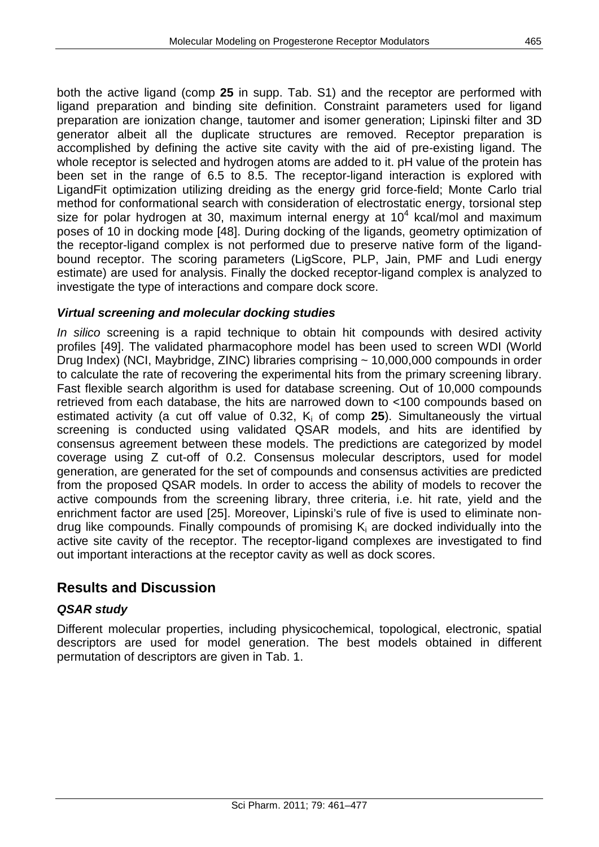both the active ligand (comp **25** in supp. Tab. S1) and the receptor are performed with ligand preparation and binding site definition. Constraint parameters used for ligand preparation are ionization change, tautomer and isomer generation; Lipinski filter and 3D generator albeit all the duplicate structures are removed. Receptor preparation is accomplished by defining the active site cavity with the aid of pre-existing ligand. The whole receptor is selected and hydrogen atoms are added to it. pH value of the protein has been set in the range of 6.5 to 8.5. The receptor-ligand interaction is explored with LigandFit optimization utilizing dreiding as the energy grid force-field; Monte Carlo trial method for conformational search with consideration of electrostatic energy, torsional step size for polar hydrogen at 30, maximum internal energy at  $10<sup>4</sup>$  kcal/mol and maximum poses of 10 in docking mode [48]. During docking of the ligands, geometry optimization of the receptor-ligand complex is not performed due to preserve native form of the ligandbound receptor. The scoring parameters (LigScore, PLP, Jain, PMF and Ludi energy estimate) are used for analysis. Finally the docked receptor-ligand complex is analyzed to investigate the type of interactions and compare dock score.

#### *Virtual screening and molecular docking studies*

*In silico* screening is a rapid technique to obtain hit compounds with desired activity profiles [49]. The validated pharmacophore model has been used to screen WDI (World Drug Index) (NCI, Maybridge, ZINC) libraries comprising ~ 10,000,000 compounds in order to calculate the rate of recovering the experimental hits from the primary screening library. Fast flexible search algorithm is used for database screening. Out of 10,000 compounds retrieved from each database, the hits are narrowed down to <100 compounds based on estimated activity (a cut off value of  $0.32$ ,  $K_i$  of comp **25**). Simultaneously the virtual screening is conducted using validated QSAR models, and hits are identified by consensus agreement between these models. The predictions are categorized by model coverage using Z cut-off of 0.2. Consensus molecular descriptors, used for model generation, are generated for the set of compounds and consensus activities are predicted from the proposed QSAR models. In order to access the ability of models to recover the active compounds from the screening library, three criteria, i.e. hit rate, yield and the enrichment factor are used [25]. Moreover, Lipinski's rule of five is used to eliminate nondrug like compounds. Finally compounds of promising  $K_i$  are docked individually into the active site cavity of the receptor. The receptor-ligand complexes are investigated to find out important interactions at the receptor cavity as well as dock scores.

# **Results and Discussion**

#### *QSAR study*

Different molecular properties, including physicochemical, topological, electronic, spatial descriptors are used for model generation. The best models obtained in different permutation of descriptors are given in Tab. 1.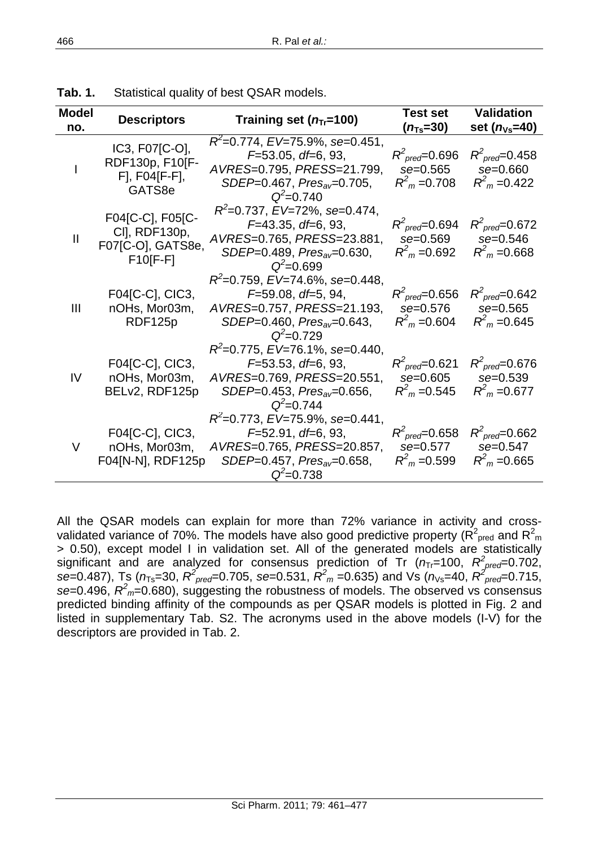| <b>Model</b><br>no. | <b>Descriptors</b>                                                   | Training set $(n_T=100)$                                                                                                                           | <b>Test set</b><br>$(n_{Ts}=30)$                                      | <b>Validation</b><br>set $(n_{\text{Vs}}=40)$                             |  |
|---------------------|----------------------------------------------------------------------|----------------------------------------------------------------------------------------------------------------------------------------------------|-----------------------------------------------------------------------|---------------------------------------------------------------------------|--|
|                     | IC3, F07[C-O],<br>RDF130p, F10[F-<br>$F$ ], $F04[F-F]$ ,<br>GATS8e   | $R^2$ =0.774, EV=75.9%, se=0.451,<br>$F=53.05$ , df=6, 93,<br>AVRES=0.795, PRESS=21.799,<br>$SDEP=0.467$ , $Pres_{av}=0.705$ ,<br>$Q^2 = 0.740$    | $R^2_{\text{pred}} = 0.696$<br>se=0.565<br>$R^2$ <sub>m</sub> = 0.708 | $R^2_{\text{pred}} = 0.458$<br>se=0.660<br>$R^2$ <sub>m</sub> = 0.422     |  |
| $\mathbf{I}$        | F04[C-C], F05[C-<br>CI], RDF130p,<br>F07[C-O], GATS8e,<br>$F10[F-F]$ | $R^2$ =0.737, EV=72%, se=0.474,<br>$F=43.35, df=6, 93,$<br>AVRES=0.765, PRESS=23.881,<br>SDEP=0.489, Pres <sub>av</sub> =0.630,<br>$Q^2 = 0.699$   | $R^2_{\text{pred}}$ =0.694<br>se=0.569<br>$R^2$ <sub>m</sub> = 0.692  | $R^2_{\text{pred}} = 0.672$<br>se=0.546<br>$R^2$ <sub>m</sub> =0.668      |  |
| Ш                   | F04[C-C], CIC3,<br>nOHs, Mor03m,<br>RDF125p                          | $R^2$ =0.759, EV=74.6%, se=0.448,<br>$F=59.08, df=5, 94,$<br>AVRES=0.757, PRESS=21.193,<br>SDEP=0.460, Pres <sub>av</sub> =0.643,<br>$Q^2 = 0.729$ | $R^2_{\text{pred}}$ =0.656<br>se=0.576<br>$R^2$ <sub>m</sub> = 0.604  | $R^2_{\text{pred}} = 0.642$<br>$se = 0.565$<br>$R^2$ <sub>m</sub> = 0.645 |  |
| IV                  | F04[C-C], CIC3,<br>nOHs, Mor03m,<br>BELv2, RDF125p                   | $R^2$ =0.775, EV=76.1%, se=0.440,<br>$F=53.53$ , df=6, 93,<br>AVRES=0.769, PRESS=20.551,<br>$SDEP=0.453$ , $Pres_{av}=0.656$ ,<br>$Q^2 = 0.744$    | $R^2_{\text{pred}} = 0.621$<br>se=0.605<br>$R2m = 0.545$              | $R^2_{\text{pred}} = 0.676$<br>$se = 0.539$<br>$R^2$ <sub>m</sub> = 0.677 |  |
| V                   | F04[C-C], CIC3,<br>nOHs, Mor03m,<br>F04[N-N], RDF125p                | $R^2$ =0.773, EV=75.9%, se=0.441,<br>$F=52.91, df=6, 93,$<br>AVRES=0.765, PRESS=20.857,<br>SDEP=0.457, Pres <sub>av</sub> =0.658,<br>$Q^2 = 0.738$ | $R^2_{\text{pred}}$ =0.658<br>se=0.577<br>$R^2$ <sub>m</sub> = 0.599  | $R^2_{\text{pred}} = 0.662$<br>se=0.547<br>$R^2$ <sub>m</sub> = 0.665     |  |

**Tab. 1.** Statistical quality of best QSAR models.

All the QSAR models can explain for more than 72% variance in activity and crossvalidated variance of 70%. The models have also good predictive property ( $R^2_{\text{ pred}}$  and  $R^2_{\text{ md}}$ > 0.50), except model I in validation set. All of the generated models are statistically significant and are analyzed for consensus prediction of Tr ( $n_{\text{Tr}}$ =100,  $R_{\text{pred}}^2$ =0.702, *se*=0.487), Ts ( $n_{Ts}$ =30,  $R^2_{prec}$ =0.705, *se*=0.531,  $R^2_m$  =0.635) and Vs ( $n_{Vs}$ =40,  $R^2_{prec}$ =0.715, *se*=0.496, *R2 <sup>m</sup>*=0.680), suggesting the robustness of models. The observed vs consensus predicted binding affinity of the compounds as per QSAR models is plotted in Fig. 2 and listed in supplementary Tab. S2. The acronyms used in the above models (I-V) for the descriptors are provided in Tab. 2.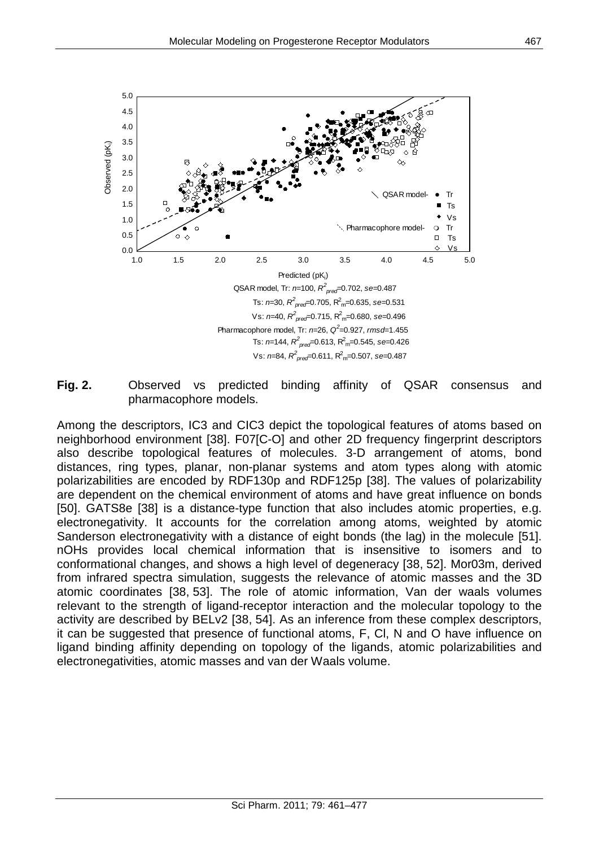

Observed (pK<sub>i</sub>) Observed (pK<sub>i</sub>)

 Pharmacophore model, Tr: *n*=26, *Q<sup>2</sup>* =0.927, *rmsd*=1.455 Ts: *n*=144, *R<sup>2</sup> pred*=0.613, R2 m=0.545, *se*=0.426

Vs: *n*=84, *R<sup>2</sup> pred*=0.611, R2 m=0.507, *se*=0.487

**Fig. 2.** Observed vs predicted binding affinity of QSAR consensus and pharmacophore models.

Among the descriptors, IC3 and CIC3 depict the topological features of atoms based on neighborhood environment [38]. F07[C-O] and other 2D frequency fingerprint descriptors also describe topological features of molecules. 3-D arrangement of atoms, bond distances, ring types, planar, non-planar systems and atom types along with atomic polarizabilities are encoded by RDF130p and RDF125p [38]. The values of polarizability are dependent on the chemical environment of atoms and have great influence on bonds [50]. GATS8e [38] is a distance-type function that also includes atomic properties, e.g. electronegativity. It accounts for the correlation among atoms, weighted by atomic Sanderson electronegativity with a distance of eight bonds (the lag) in the molecule [51]. nOHs provides local chemical information that is insensitive to isomers and to conformational changes, and shows a high level of degeneracy [38, 52]. Mor03m, derived from infrared spectra simulation, suggests the relevance of atomic masses and the 3D atomic coordinates [38, 53]. The role of atomic information, Van der waals volumes relevant to the strength of ligand-receptor interaction and the molecular topology to the activity are described by BELv2 [38, 54]. As an inference from these complex descriptors, it can be suggested that presence of functional atoms, F, Cl, N and O have influence on ligand binding affinity depending on topology of the ligands, atomic polarizabilities and electronegativities, atomic masses and van der Waals volume.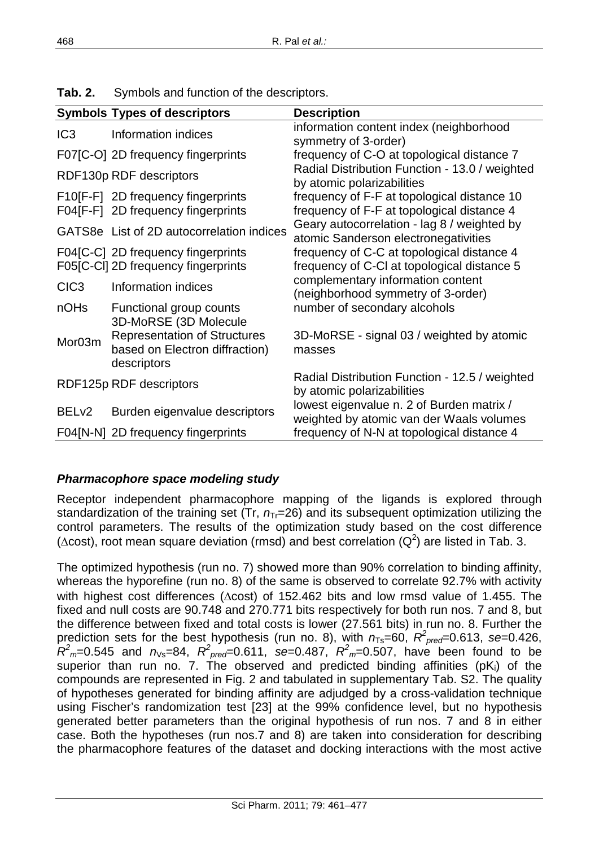|                   | <b>Symbols Types of descriptors</b>                                                  | <b>Description</b>                                                                        |
|-------------------|--------------------------------------------------------------------------------------|-------------------------------------------------------------------------------------------|
| IC <sub>3</sub>   | Information indices                                                                  | information content index (neighborhood<br>symmetry of 3-order)                           |
|                   | F07[C-O] 2D frequency fingerprints                                                   | frequency of C-O at topological distance 7                                                |
|                   | RDF130p RDF descriptors                                                              | Radial Distribution Function - 13.0 / weighted<br>by atomic polarizabilities              |
|                   | F10[F-F] 2D frequency fingerprints<br>F04[F-F] 2D frequency fingerprints             | frequency of F-F at topological distance 10<br>frequency of F-F at topological distance 4 |
|                   | GATS8e List of 2D autocorrelation indices                                            | Geary autocorrelation - lag 8 / weighted by<br>atomic Sanderson electronegativities       |
|                   | F04[C-C] 2D frequency fingerprints<br>F05[C-CI] 2D frequency fingerprints            | frequency of C-C at topological distance 4<br>frequency of C-CI at topological distance 5 |
| CIC <sub>3</sub>  | Information indices                                                                  | complementary information content<br>(neighborhood symmetry of 3-order)                   |
| nOH <sub>s</sub>  | Functional group counts<br>3D-MoRSE (3D Molecule                                     | number of secondary alcohols                                                              |
| Mor03m            | <b>Representation of Structures</b><br>based on Electron diffraction)<br>descriptors | 3D-MoRSE - signal 03 / weighted by atomic<br>masses                                       |
|                   | RDF125p RDF descriptors                                                              | Radial Distribution Function - 12.5 / weighted<br>by atomic polarizabilities              |
| BEL <sub>v2</sub> | Burden eigenvalue descriptors                                                        | lowest eigenvalue n. 2 of Burden matrix /<br>weighted by atomic van der Waals volumes     |
|                   | F04[N-N] 2D frequency fingerprints                                                   | frequency of N-N at topological distance 4                                                |

**Tab. 2.** Symbols and function of the descriptors.

## *Pharmacophore space modeling study*

Receptor independent pharmacophore mapping of the ligands is explored through standardization of the training set (Tr,  $n_T$ =26) and its subsequent optimization utilizing the control parameters. The results of the optimization study based on the cost difference ( $\Delta$ cost), root mean square deviation (rmsd) and best correlation ( $Q^2$ ) are listed in Tab. 3.

The optimized hypothesis (run no. 7) showed more than 90% correlation to binding affinity, whereas the hyporefine (run no. 8) of the same is observed to correlate 92.7% with activity with highest cost differences ( $\Delta$ cost) of 152.462 bits and low rmsd value of 1.455. The fixed and null costs are 90.748 and 270.771 bits respectively for both run nos. 7 and 8, but the difference between fixed and total costs is lower (27.561 bits) in run no. 8. Further the prediction sets for the best hypothesis (run no. 8), with  $n_{Ts}$ =60,  $R^2_{pred}$ =0.613, se=0.426,  $R^2$ <sub>*m*</sub>=0.545 and  $n_{\text{Vs}}$ =84,  $R^2$ <sub>pred</sub>=0.611, se=0.487,  $R^2$ <sub>*m*</sub>=0.507, have been found to be superior than run no. 7. The observed and predicted binding affinities ( $pK_i$ ) of the compounds are represented in Fig. 2 and tabulated in supplementary Tab. S2. The quality of hypotheses generated for binding affinity are adjudged by a cross-validation technique using Fischer's randomization test [23] at the 99% confidence level, but no hypothesis generated better parameters than the original hypothesis of run nos. 7 and 8 in either case. Both the hypotheses (run nos.7 and 8) are taken into consideration for describing the pharmacophore features of the dataset and docking interactions with the most active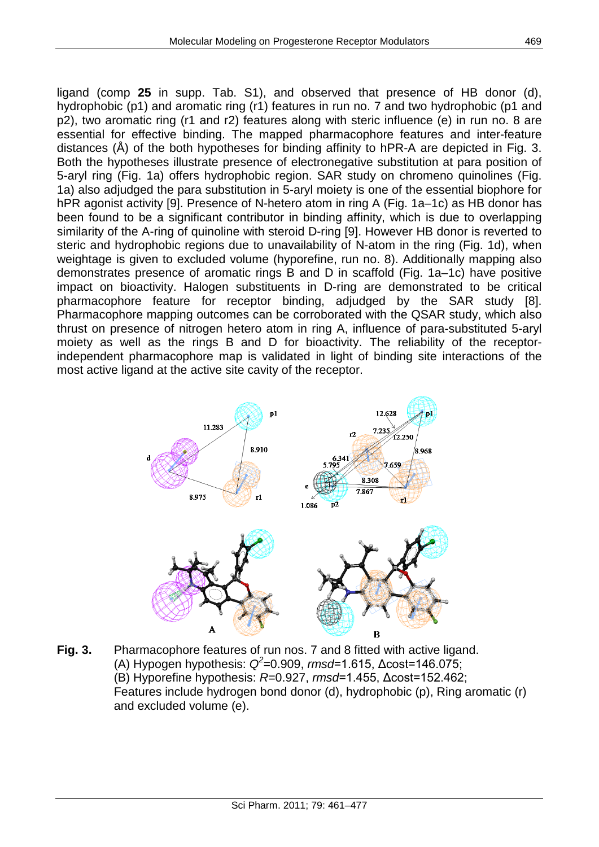ligand (comp **25** in supp. Tab. S1), and observed that presence of HB donor (d), hydrophobic (p1) and aromatic ring (r1) features in run no. 7 and two hydrophobic (p1 and p2), two aromatic ring (r1 and r2) features along with steric influence (e) in run no. 8 are essential for effective binding. The mapped pharmacophore features and inter-feature distances (Å) of the both hypotheses for binding affinity to hPR-A are depicted in Fig. 3. Both the hypotheses illustrate presence of electronegative substitution at para position of 5-aryl ring (Fig. 1a) offers hydrophobic region. SAR study on chromeno quinolines (Fig. 1a) also adjudged the para substitution in 5-aryl moiety is one of the essential biophore for hPR agonist activity [9]. Presence of N-hetero atom in ring A (Fig. 1a–1c) as HB donor has been found to be a significant contributor in binding affinity, which is due to overlapping similarity of the A-ring of quinoline with steroid D-ring [9]. However HB donor is reverted to steric and hydrophobic regions due to unavailability of N-atom in the ring (Fig. 1d), when weightage is given to excluded volume (hyporefine, run no. 8). Additionally mapping also demonstrates presence of aromatic rings B and D in scaffold (Fig. 1a–1c) have positive impact on bioactivity. Halogen substituents in D-ring are demonstrated to be critical pharmacophore feature for receptor binding, adjudged by the SAR study [8]. Pharmacophore mapping outcomes can be corroborated with the QSAR study, which also thrust on presence of nitrogen hetero atom in ring A, influence of para-substituted 5-aryl moiety as well as the rings B and D for bioactivity. The reliability of the receptorindependent pharmacophore map is validated in light of binding site interactions of the most active ligand at the active site cavity of the receptor.



**Fig. 3.** Pharmacophore features of run nos. 7 and 8 fitted with active ligand. (A) Hypogen hypothesis: *Q<sup>2</sup>* =0.909, *rmsd*=1.615, Δcost=146.075; (B) Hyporefine hypothesis: *R*=0.927, *rmsd*=1.455, Δcost=152.462; Features include hydrogen bond donor (d), hydrophobic (p), Ring aromatic (r) and excluded volume (e).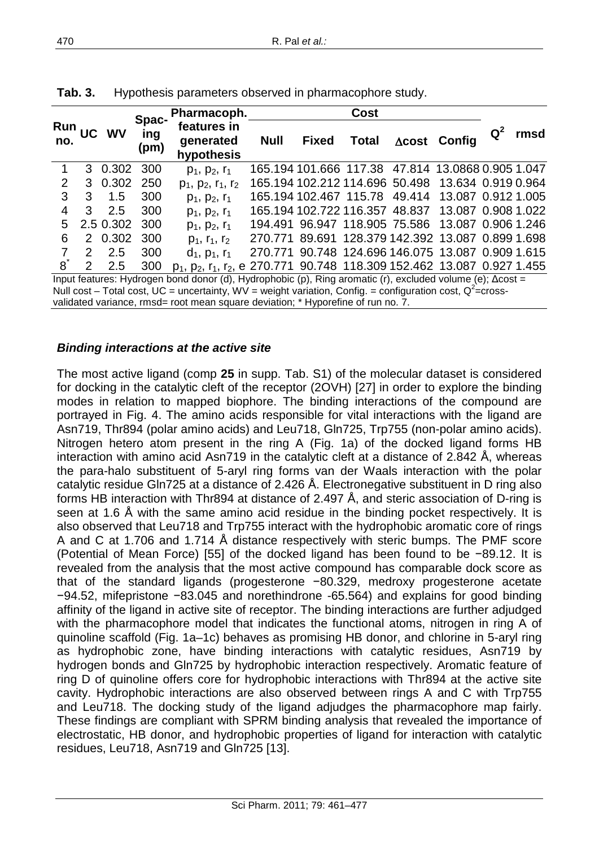|                                                                                                                          |                       |              |                      | Pharmacoph.                                                                                                             |                                                   |              | Cost                                              |  |                      |       |      |
|--------------------------------------------------------------------------------------------------------------------------|-----------------------|--------------|----------------------|-------------------------------------------------------------------------------------------------------------------------|---------------------------------------------------|--------------|---------------------------------------------------|--|----------------------|-------|------|
| Run<br>no.                                                                                                               |                       | <b>JC WV</b> | Spac-<br>ing<br>(pm) | features in<br>generated<br>hypothesis                                                                                  | <b>Null</b>                                       | <b>Fixed</b> | <b>Total</b>                                      |  | $\Delta$ cost Config | $Q^2$ | rmsd |
|                                                                                                                          |                       | 3 0.302      | 300                  | $p_1, p_2, r_1$                                                                                                         |                                                   |              | 165.194 101.666 117.38 47.814 13.0868 0.905 1.047 |  |                      |       |      |
| $\mathcal P$                                                                                                             |                       | 3 0.302      | 250                  | $p_1, p_2, r_1, r_2$                                                                                                    |                                                   |              | 165.194 102.212 114.696 50.498                    |  | 13.634 0.919 0.964   |       |      |
| 3                                                                                                                        | 3                     | 1.5          | 300                  | $p_1, p_2, r_1$                                                                                                         |                                                   |              | 165.194 102.467 115.78 49.414                     |  | 13.087 0.912 1.005   |       |      |
| 4                                                                                                                        | 3                     | 2.5          | 300                  | $p_1, p_2, r_1$                                                                                                         |                                                   |              | 165.194 102.722 116.357 48.837                    |  | 13.087 0.908 1.022   |       |      |
| 5                                                                                                                        |                       | 2.5 0.302    | 300                  | $p_1, p_2, r_1$                                                                                                         |                                                   |              | 194.491 96.947 118.905 75.586                     |  | 13.087 0.906 1.246   |       |      |
| 6                                                                                                                        |                       | 2 0.302      | 300                  | $p_1, r_1, r_2$                                                                                                         | 270.771 89.691 128.379 142.392 13.087 0.899 1.698 |              |                                                   |  |                      |       |      |
|                                                                                                                          | $\mathbf{2}^{\prime}$ | 2.5          | 300                  | $d_1$ , $p_1$ , $r_1$                                                                                                   | 270.771 90.748 124.696 146.075 13.087 0.909 1.615 |              |                                                   |  |                      |       |      |
| 8                                                                                                                        | $\mathcal{P}$         | 2.5          | 300                  | p <sub>1</sub> , p <sub>2</sub> , r <sub>1</sub> , r <sub>2</sub> , e 270.771 90.748 118.309 152.462 13.087 0.927 1.455 |                                                   |              |                                                   |  |                      |       |      |
| Input features: Hydrogen bond donor (d), Hydrophobic (p), Ring aromatic (r), excluded volume (e); $\Delta \text{cost} =$ |                       |              |                      |                                                                                                                         |                                                   |              |                                                   |  |                      |       |      |
| Null cost – Total cost, UC = uncertainty, WV = weight variation, Config. = configuration cost, $Q^2$ =cross-             |                       |              |                      |                                                                                                                         |                                                   |              |                                                   |  |                      |       |      |
| validated variance, rmsd= root mean square deviation; * Hyporefine of run no. 7.                                         |                       |              |                      |                                                                                                                         |                                                   |              |                                                   |  |                      |       |      |

**Tab. 3.** Hypothesis parameters observed in pharmacophore study.

#### *Binding interactions at the active site*

The most active ligand (comp **25** in supp. Tab. S1) of the molecular dataset is considered for docking in the catalytic cleft of the receptor (2OVH) [27] in order to explore the binding modes in relation to mapped biophore. The binding interactions of the compound are portrayed in Fig. 4. The amino acids responsible for vital interactions with the ligand are Asn719, Thr894 (polar amino acids) and Leu718, Gln725, Trp755 (non-polar amino acids). Nitrogen hetero atom present in the ring A (Fig. 1a) of the docked ligand forms HB interaction with amino acid Asn719 in the catalytic cleft at a distance of 2.842 Å, whereas the para-halo substituent of 5-aryl ring forms van der Waals interaction with the polar catalytic residue Gln725 at a distance of 2.426 Å. Electronegative substituent in D ring also forms HB interaction with Thr894 at distance of 2.497 Å, and steric association of D-ring is seen at 1.6 Å with the same amino acid residue in the binding pocket respectively. It is also observed that Leu718 and Trp755 interact with the hydrophobic aromatic core of rings A and C at 1.706 and 1.714 Å distance respectively with steric bumps. The PMF score (Potential of Mean Force) [55] of the docked ligand has been found to be −89.12. It is revealed from the analysis that the most active compound has comparable dock score as that of the standard ligands (progesterone −80.329, medroxy progesterone acetate −94.52, mifepristone −83.045 and norethindrone -65.564) and explains for good binding affinity of the ligand in active site of receptor. The binding interactions are further adjudged with the pharmacophore model that indicates the functional atoms, nitrogen in ring A of quinoline scaffold (Fig. 1a–1c) behaves as promising HB donor, and chlorine in 5-aryl ring as hydrophobic zone, have binding interactions with catalytic residues, Asn719 by hydrogen bonds and Gln725 by hydrophobic interaction respectively. Aromatic feature of ring D of quinoline offers core for hydrophobic interactions with Thr894 at the active site cavity. Hydrophobic interactions are also observed between rings A and C with Trp755 and Leu718. The docking study of the ligand adjudges the pharmacophore map fairly. These findings are compliant with SPRM binding analysis that revealed the importance of electrostatic, HB donor, and hydrophobic properties of ligand for interaction with catalytic residues, Leu718, Asn719 and Gln725 [13].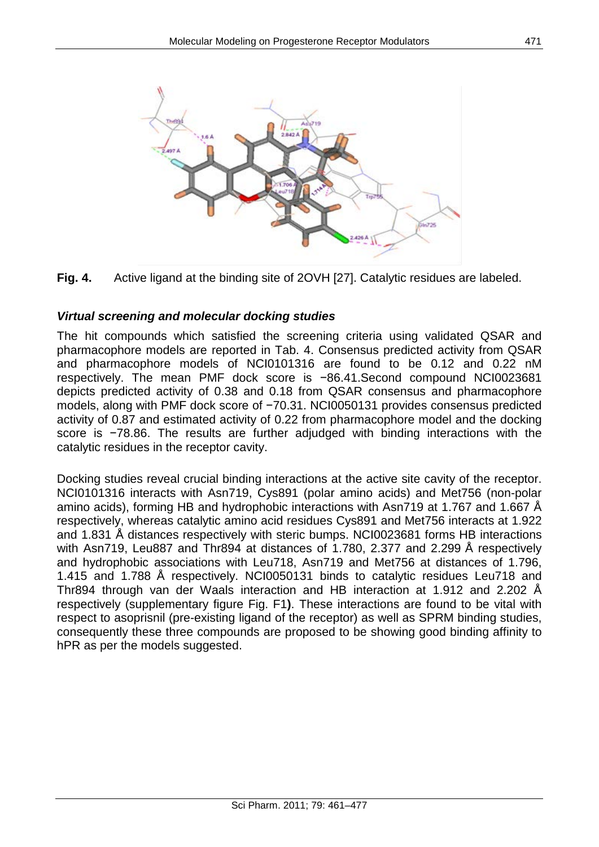



#### *Virtual screening and molecular docking studies*

The hit compounds which satisfied the screening criteria using validated QSAR and pharmacophore models are reported in Tab. 4. Consensus predicted activity from QSAR and pharmacophore models of NCI0101316 are found to be 0.12 and 0.22 nM respectively. The mean PMF dock score is −86.41.Second compound NCI0023681 depicts predicted activity of 0.38 and 0.18 from QSAR consensus and pharmacophore models, along with PMF dock score of −70.31. NCI0050131 provides consensus predicted activity of 0.87 and estimated activity of 0.22 from pharmacophore model and the docking score is −78.86. The results are further adjudged with binding interactions with the catalytic residues in the receptor cavity.

Docking studies reveal crucial binding interactions at the active site cavity of the receptor. NCI0101316 interacts with Asn719, Cys891 (polar amino acids) and Met756 (non-polar amino acids), forming HB and hydrophobic interactions with Asn719 at 1.767 and 1.667 Å respectively, whereas catalytic amino acid residues Cys891 and Met756 interacts at 1.922 and 1.831 Å distances respectively with steric bumps. NCI0023681 forms HB interactions with Asn719, Leu887 and Thr894 at distances of 1.780, 2.377 and 2.299 Å respectively and hydrophobic associations with Leu718, Asn719 and Met756 at distances of 1.796, 1.415 and 1.788 Å respectively. NCI0050131 binds to catalytic residues Leu718 and Thr894 through van der Waals interaction and HB interaction at 1.912 and 2.202 Å respectively (supplementary figure Fig. F1**)**. These interactions are found to be vital with respect to asoprisnil (pre-existing ligand of the receptor) as well as SPRM binding studies, consequently these three compounds are proposed to be showing good binding affinity to hPR as per the models suggested.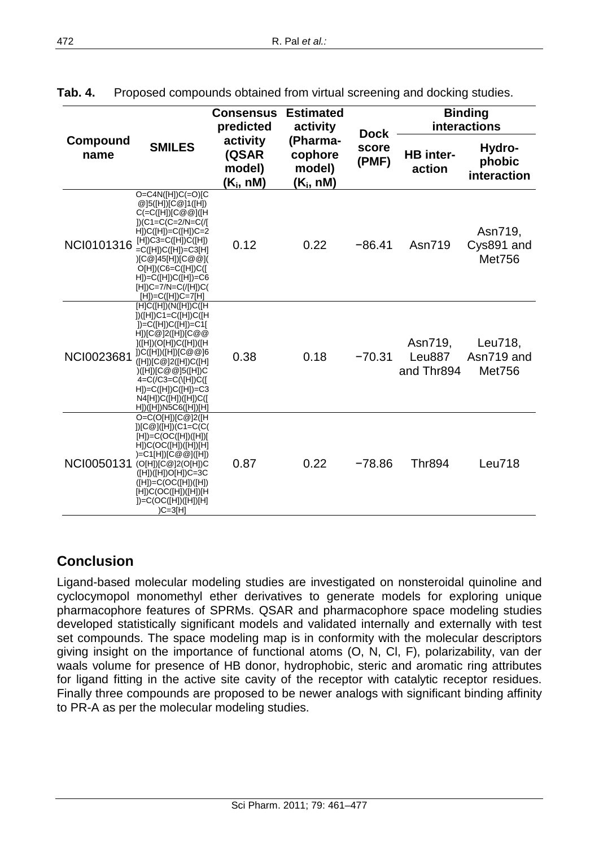|                  |                                                                                                                                                                                                                                                                                                                              | <b>Consensus</b><br>predicted                        | <b>Estimated</b><br>activity                 | <b>Dock</b>    | <b>Binding</b><br>interactions  |                                        |  |
|------------------|------------------------------------------------------------------------------------------------------------------------------------------------------------------------------------------------------------------------------------------------------------------------------------------------------------------------------|------------------------------------------------------|----------------------------------------------|----------------|---------------------------------|----------------------------------------|--|
| Compound<br>name | <b>SMILES</b>                                                                                                                                                                                                                                                                                                                | activity<br>(QSAR<br>model)<br>(K <sub>i</sub> , nM) | (Pharma-<br>cophore<br>model)<br>$(K_i, nM)$ | score<br>(PMF) | HB inter-<br>action             | Hydro-<br>phobic<br>interaction        |  |
| NCI0101316       | $O=CAN([H])C(=O)[C]$<br>@]5([H])[C@]1([H])<br>$C (= C([H]) [C \otimes \mathcal{Q}] ([H])$<br>]) $(C1=C(C=2/N=C)/$<br>$H]$ )C( $[H]$ )=C( $[H]$ )C=2<br>$[H])C3=C([H])C([H])$<br>=C([H])C([H])=C3[H]<br>(C@145[H])[C@@]<br>$O[H])(C6=C([H])C([$<br>$H$ ])=C([H])C([H])=C6<br>$[H])C=7/N=C( [H])C($<br>$[H])=C([H])C=7[H]$     | 0.12                                                 | 0.22                                         | $-86.41$       | Asn719                          | Asn719,<br>Cys891 and<br><b>Met756</b> |  |
| NCI0023681       | [H]C([H])(N([H])C([H<br>$I)([H])C1=C([H])C([H])$<br>])=C([H])C([H])=C1[<br>$H$ ])[C@]2([H])[C@@<br>]([H])(O[H])C([H])([H<br>$]$ )C([H])([H])[C@@]6<br>([H])[C@]2([H])C([H]<br>((H <sub>1</sub> )(C@@]5([H])C)<br>$4=C/(C3=C(\vert H \vert)C(\vert$<br>$H$ ])=C([H])C([H])=C3<br>N4[H])C([H])([H])C([<br>H])([H])N5C6([H])[H] | 0.38                                                 | 0.18                                         | $-70.31$       | Asn719,<br>Leu887<br>and Thr894 | Leu718,<br>Asn719 and<br>Met756        |  |
| NCI0050131       | $O=C(O[H])$ $C@$ $2$ ([H<br>])[C@]([H])(C1=C(C(<br>$[H]) = C(OC([H])([H])$<br>H C(OC([H])([H])[H])<br>)=C1[H])[C@@]([H])<br>(O[H])[C@]2(O[H])C<br>([H])([H])O[H])C=3C<br>$([H])=C(OC([H])([H]))$<br>[H])C(OC([H])([H])[H<br>])=C(OC([H])([H])[H]<br>$)C=3[H]$                                                                | 0.87                                                 | 0.22                                         | $-78.86$       | <b>Thr894</b>                   | Leu718                                 |  |

**Tab. 4.** Proposed compounds obtained from virtual screening and docking studies.

# **Conclusion**

Ligand-based molecular modeling studies are investigated on nonsteroidal quinoline and cyclocymopol monomethyl ether derivatives to generate models for exploring unique pharmacophore features of SPRMs. QSAR and pharmacophore space modeling studies developed statistically significant models and validated internally and externally with test set compounds. The space modeling map is in conformity with the molecular descriptors giving insight on the importance of functional atoms (O, N, Cl, F), polarizability, van der waals volume for presence of HB donor, hydrophobic, steric and aromatic ring attributes for ligand fitting in the active site cavity of the receptor with catalytic receptor residues. Finally three compounds are proposed to be newer analogs with significant binding affinity to PR-A as per the molecular modeling studies.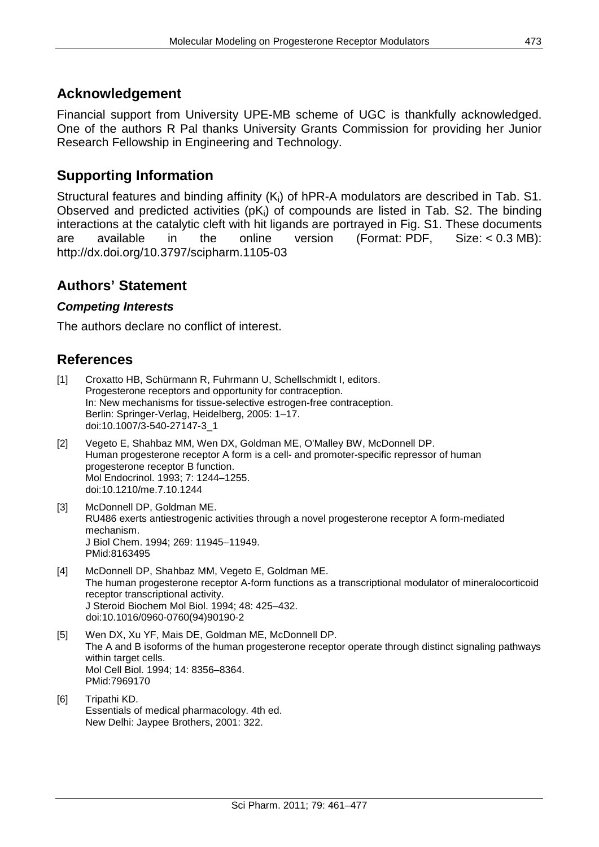## **Acknowledgement**

Financial support from University UPE-MB scheme of UGC is thankfully acknowledged. One of the authors R Pal thanks University Grants Commission for providing her Junior Research Fellowship in Engineering and Technology.

# **Supporting Information**

Structural features and binding affinity (K<sub>i</sub>) of hPR-A modulators are described in Tab. S1. Observed and predicted activities (pKi) of compounds are listed in Tab. S2. The binding interactions at the catalytic cleft with hit ligands are portrayed in Fig. S1. These documents are available in the online version (Format: PDF, Size: < 0.3 MB): <http://dx.doi.org/10.3797/scipharm.1105-03>

## **Authors' Statement**

#### *Competing Interests*

The authors declare no conflict of interest.

# **References**

- [1] Croxatto HB, Schürmann R, Fuhrmann U, Schellschmidt I, editors. Progesterone receptors and opportunity for contraception. In: New mechanisms for tissue-selective estrogen-free contraception. Berlin: Springer-Verlag, Heidelberg, 2005: 1–17. [doi:10.1007/3-540-27147-3\\_1](http://dx.doi.org/10.1007/3-540-27147-3_1)
- [2] Vegeto E, Shahbaz MM, Wen DX, Goldman ME, O'Malley BW, McDonnell DP. Human progesterone receptor A form is a cell- and promoter-specific repressor of human progesterone receptor B function. Mol Endocrinol. 1993; 7: 1244–1255. [doi:10.1210/me.7.10.1244](http://dx.doi.org/10.1210/me.7.10.1244)
- [3] McDonnell DP, Goldman ME. RU486 exerts antiestrogenic activities through a novel progesterone receptor A form-mediated mechanism. J Biol Chem. 1994; 269: 11945–11949. [PMid:8163495](http://www.ncbi.nlm.nih.gov/pubmed/8163495)
- [4] McDonnell DP, Shahbaz MM, Vegeto E, Goldman ME. The human progesterone receptor A-form functions as a transcriptional modulator of mineralocorticoid receptor transcriptional activity. J Steroid Biochem Mol Biol. 1994; 48: 425–432. [doi:10.1016/0960-0760\(94\)90190-2](http://dx.doi.org/10.1016/0960-0760(94)90190-2)
- [5] Wen DX, Xu YF, Mais DE, Goldman ME, McDonnell DP. The A and B isoforms of the human progesterone receptor operate through distinct signaling pathways within target cells. Mol Cell Biol. 1994; 14: 8356–8364. [PMid:7969170](http://www.ncbi.nlm.nih.gov/pubmed/7969170)
- [6] Tripathi KD. Essentials of medical pharmacology. 4th ed. New Delhi: Jaypee Brothers, 2001: 322.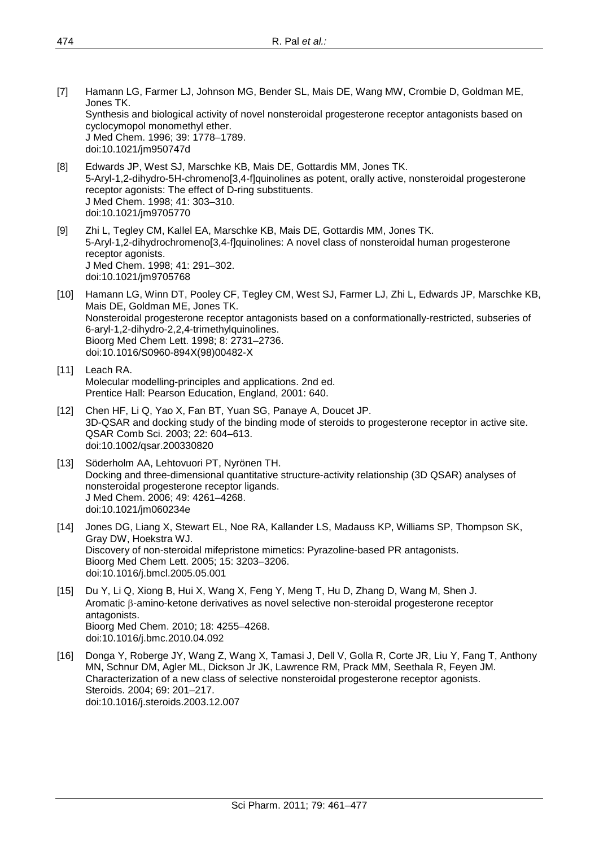- [7] Hamann LG, Farmer LJ, Johnson MG, Bender SL, Mais DE, Wang MW, Crombie D, Goldman ME, Jones TK. Synthesis and biological activity of novel nonsteroidal progesterone receptor antagonists based on cyclocymopol monomethyl ether. J Med Chem. 1996; 39: 1778–1789. [doi:10.1021/jm950747d](http://dx.doi.org/10.1021/jm950747d)
- [8] Edwards JP, West SJ, Marschke KB, Mais DE, Gottardis MM, Jones TK. 5-Aryl-1,2-dihydro-5H-chromeno[3,4-f]quinolines as potent, orally active, nonsteroidal progesterone receptor agonists: The effect of D-ring substituents. J Med Chem. 1998; 41: 303–310. [doi:10.1021/jm9705770](http://dx.doi.org/10.1021/jm9705770)
- [9] Zhi L, Tegley CM, Kallel EA, Marschke KB, Mais DE, Gottardis MM, Jones TK. 5-Aryl-1,2-dihydrochromeno[3,4-f]quinolines: A novel class of nonsteroidal human progesterone receptor agonists. J Med Chem. 1998; 41: 291–302. [doi:10.1021/jm9705768](http://dx.doi.org/10.1021/jm9705768)
- [10] Hamann LG, Winn DT, Pooley CF, Tegley CM, West SJ, Farmer LJ, Zhi L, Edwards JP, Marschke KB, Mais DE, Goldman ME, Jones TK. Nonsteroidal progesterone receptor antagonists based on a conformationally-restricted, subseries of 6-aryl-1,2-dihydro-2,2,4-trimethylquinolines. Bioorg Med Chem Lett. 1998; 8: 2731–2736. [doi:10.1016/S0960-894X\(98\)00482-X](http://dx.doi.org/10.1016/S0960-894X(98)00482-X)
- [11] Leach RA. Molecular modelling-principles and applications. 2nd ed. Prentice Hall: Pearson Education, England, 2001: 640.
- [12] Chen HF, Li Q, Yao X, Fan BT, Yuan SG, Panaye A, Doucet JP. 3D-QSAR and docking study of the binding mode of steroids to progesterone receptor in active site. QSAR Comb Sci. 2003; 22: 604–613. [doi:10.1002/qsar.200330820](http://dx.doi.org/10.1002/qsar.200330820)
- [13] Söderholm AA, Lehtovuori PT, Nyrönen TH. Docking and three-dimensional quantitative structure-activity relationship (3D QSAR) analyses of nonsteroidal progesterone receptor ligands. J Med Chem. 2006; 49: 4261–4268. [doi:10.1021/jm060234e](http://dx.doi.org/10.1021/jm060234e)
- [14] Jones DG, Liang X, Stewart EL, Noe RA, Kallander LS, Madauss KP, Williams SP, Thompson SK, Gray DW, Hoekstra WJ. Discovery of non-steroidal mifepristone mimetics: Pyrazoline-based PR antagonists. Bioorg Med Chem Lett. 2005; 15: 3203–3206. [doi:10.1016/j.bmcl.2005.05.001](http://dx.doi.org/10.1016/j.bmcl.2005.05.001)
- [15] Du Y, Li Q, Xiong B, Hui X, Wang X, Feng Y, Meng T, Hu D, Zhang D, Wang M, Shen J. Aromatic β-amino-ketone derivatives as novel selective non-steroidal progesterone receptor antagonists. Bioorg Med Chem. 2010; 18: 4255–4268. [doi:10.1016/j.bmc.2010.04.092](http://dx.doi.org/10.1016/j.bmc.2010.04.092)
- [16] Donga Y, Roberge JY, Wang Z, Wang X, Tamasi J, Dell V, Golla R, Corte JR, Liu Y, Fang T, Anthony MN, Schnur DM, Agler ML, Dickson Jr JK, Lawrence RM, Prack MM, Seethala R, Feyen JM. Characterization of a new class of selective nonsteroidal progesterone receptor agonists. Steroids. 2004; 69: 201–217. [doi:10.1016/j.steroids.2003.12.007](http://dx.doi.org/10.1016/j.steroids.2003.12.007)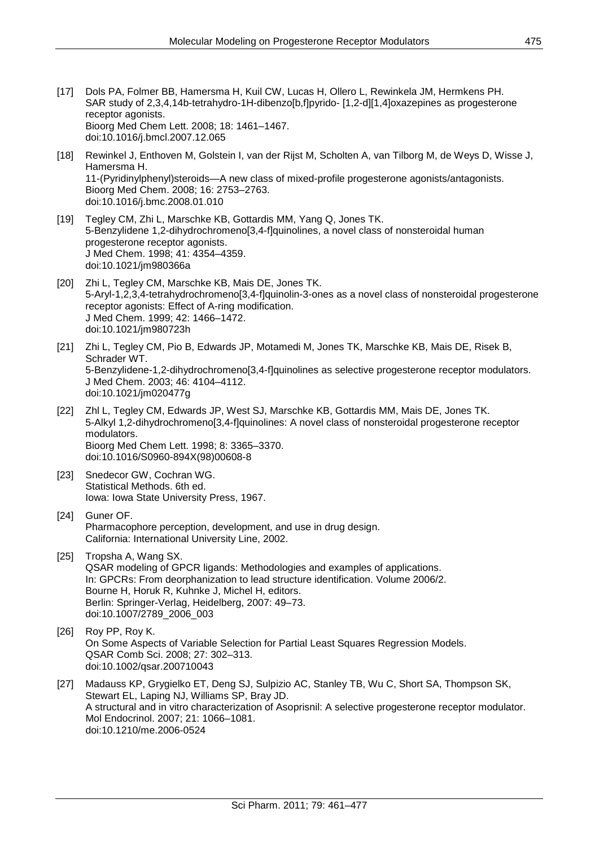- [17] Dols PA, Folmer BB, Hamersma H, Kuil CW, Lucas H, Ollero L, Rewinkela JM, Hermkens PH. SAR study of 2,3,4,14b-tetrahydro-1H-dibenzo[b,f]pyrido- [1,2-d][1,4]oxazepines as progesterone receptor agonists. Bioorg Med Chem Lett. 2008; 18: 1461–1467. [doi:10.1016/j.bmcl.2007.12.065](http://dx.doi.org/10.1016/j.bmcl.2007.12.065)
- [18] Rewinkel J, Enthoven M, Golstein I, van der Rijst M, Scholten A, van Tilborg M, de Weys D, Wisse J, Hamersma H. 11-(Pyridinylphenyl)steroids—A new class of mixed-profile progesterone agonists/antagonists. Bioorg Med Chem. 2008; 16: 2753–2763. [doi:10.1016/j.bmc.2008.01.010](http://dx.doi.org/10.1016/j.bmc.2008.01.010)
- [19] Tegley CM, Zhi L, Marschke KB, Gottardis MM, Yang Q, Jones TK. 5-Benzylidene 1,2-dihydrochromeno[3,4-f]quinolines, a novel class of nonsteroidal human progesterone receptor agonists. J Med Chem. 1998; 41: 4354–4359. [doi:10.1021/jm980366a](http://dx.doi.org/10.1021/jm980366a)
- [20] Zhi L, Tegley CM, Marschke KB, Mais DE, Jones TK. 5-Aryl-1,2,3,4-tetrahydrochromeno[3,4-f]quinolin-3-ones as a novel class of nonsteroidal progesterone receptor agonists: Effect of A-ring modification. J Med Chem. 1999; 42: 1466–1472. [doi:10.1021/jm980723h](http://dx.doi.org/10.1021/jm980723h)
- [21] Zhi L, Tegley CM, Pio B, Edwards JP, Motamedi M, Jones TK, Marschke KB, Mais DE, Risek B, Schrader WT. 5-Benzylidene-1,2-dihydrochromeno[3,4-f]quinolines as selective progesterone receptor modulators. J Med Chem. 2003; 46: 4104–4112. [doi:10.1021/jm020477g](http://dx.doi.org/10.1021/jm020477g)
- [22] Zhl L, Tegley CM, Edwards JP, West SJ, Marschke KB, Gottardis MM, Mais DE, Jones TK. 5-Alkyl 1,2-dihydrochromeno[3,4-f]quinolines: A novel class of nonsteroidal progesterone receptor modulators. Bioorg Med Chem Lett. 1998; 8: 3365–3370. [doi:10.1016/S0960-894X\(98\)00608-8](http://dx.doi.org/10.1016/S0960-894X(98)00608-8)
- [23] Snedecor GW, Cochran WG. Statistical Methods. 6th ed. Iowa: Iowa State University Press, 1967.
- [24] Guner OF. Pharmacophore perception, development, and use in drug design. California: International University Line, 2002.
- [25] Tropsha A, Wang SX. QSAR modeling of GPCR ligands: Methodologies and examples of applications. In: GPCRs: From deorphanization to lead structure identification. Volume 2006/2. Bourne H, Horuk R, Kuhnke J, Michel H, editors. Berlin: Springer-Verlag, Heidelberg, 2007: 49–73. [doi:10.1007/2789\\_2006\\_003](http://dx.doi.org/10.1007/2789_2006_003)
- [26] Roy PP, Roy K. On Some Aspects of Variable Selection for Partial Least Squares Regression Models. QSAR Comb Sci. 2008; 27: 302–313. [doi:10.1002/qsar.200710043](http://dx.doi.org/10.1002/qsar.200710043)
- [27] Madauss KP, Grygielko ET, Deng SJ, Sulpizio AC, Stanley TB, Wu C, Short SA, Thompson SK, Stewart EL, Laping NJ, Williams SP, Bray JD. A structural and in vitro characterization of Asoprisnil: A selective progesterone receptor modulator. Mol Endocrinol. 2007; 21: 1066–1081. [doi:10.1210/me.2006-0524](http://dx.doi.org/10.1210/me.2006-0524)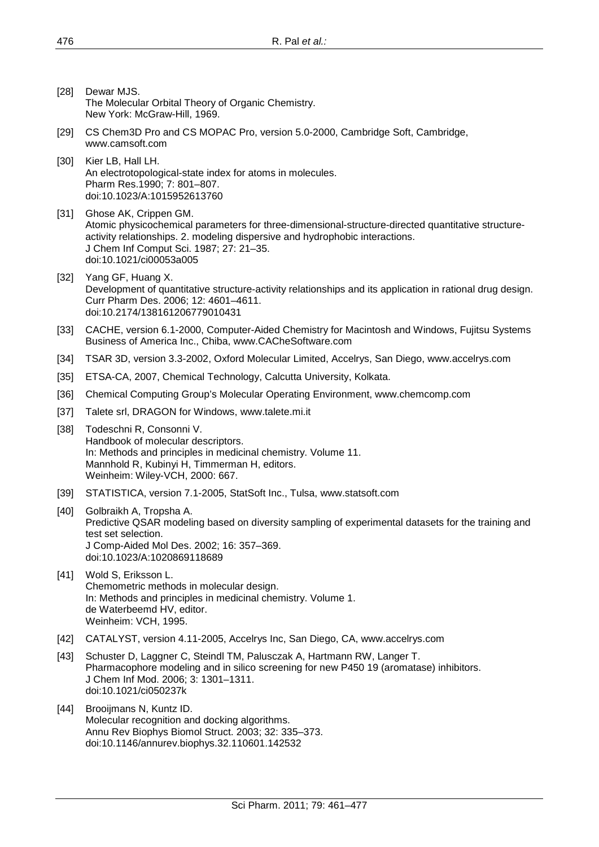- [28] Dewar MJS. The Molecular Orbital Theory of Organic Chemistry. New York: McGraw-Hill, 1969.
- [29] CS Chem3D Pro and CS MOPAC Pro, version 5.0-2000, Cambridge Soft, Cambridge, www.camsoft.com
- [30] Kier LB, Hall LH. An electrotopological-state index for atoms in molecules. Pharm Res.1990; 7: 801–807. [doi:10.1023/A:1015952613760](http://dx.doi.org/10.1023/A:1015952613760)
- [31] Ghose AK, Crippen GM. Atomic physicochemical parameters for three-dimensional-structure-directed quantitative structureactivity relationships. 2. modeling dispersive and hydrophobic interactions. J Chem Inf Comput Sci. 1987; 27: 21–35. [doi:10.1021/ci00053a005](http://dx.doi.org/10.1021/ci00053a005)
- [32] Yang GF, Huang X. Development of quantitative structure-activity relationships and its application in rational drug design. Curr Pharm Des. 2006; 12: 4601–4611. [doi:10.2174/138161206779010431](http://dx.doi.org/10.2174/138161206779010431)
- [33] CACHE, version 6.1-2000, Computer-Aided Chemistry for Macintosh and Windows, Fujitsu Systems Business of America Inc., Chiba, www.CACheSoftware.com
- [34] TSAR 3D, version 3.3-2002, Oxford Molecular Limited, Accelrys, San Diego, www.accelrys.com
- [35] ETSA-CA, 2007, Chemical Technology, Calcutta University, Kolkata.
- [36] Chemical Computing Group's Molecular Operating Environment, www.chemcomp.com
- [37] Talete srl, DRAGON for Windows, www.talete.mi.it
- [38] Todeschni R, Consonni V. Handbook of molecular descriptors. In: Methods and principles in medicinal chemistry. Volume 11. Mannhold R, Kubinyi H, Timmerman H, editors. Weinheim: Wiley-VCH, 2000: 667.
- [39] STATISTICA, version 7.1-2005, StatSoft Inc., Tulsa, www.statsoft.com
- [40] Golbraikh A, Tropsha A. Predictive QSAR modeling based on diversity sampling of experimental datasets for the training and test set selection. J Comp-Aided Mol Des. 2002; 16: 357–369. [doi:10.1023/A:1020869118689](http://dx.doi.org/10.1023/A:1020869118689)
- [41] Wold S, Eriksson L. Chemometric methods in molecular design. In: Methods and principles in medicinal chemistry. Volume 1. de Waterbeemd HV, editor. Weinheim: VCH, 1995.
- [42] CATALYST, version 4.11-2005, Accelrys Inc, San Diego, CA, www.accelrys.com
- [43] Schuster D, Laggner C, Steindl TM, Palusczak A, Hartmann RW, Langer T. Pharmacophore modeling and in silico screening for new P450 19 (aromatase) inhibitors. J Chem Inf Mod. 2006; 3: 1301–1311. [doi:10.1021/ci050237k](http://dx.doi.org/10.1021/ci050237k)
- [44] Brooijmans N, Kuntz ID. Molecular recognition and docking algorithms. Annu Rev Biophys Biomol Struct. 2003; 32: 335–373. [doi:10.1146/annurev.biophys.32.110601.142532](http://dx.doi.org/10.1146/annurev.biophys.32.110601.142532)